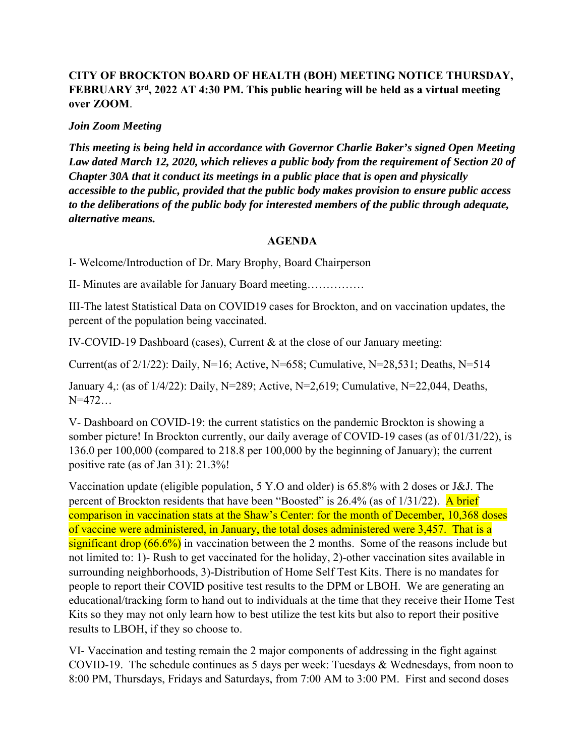## **CITY OF BROCKTON BOARD OF HEALTH (BOH) MEETING NOTICE THURSDAY, FEBRUARY 3rd, 2022 AT 4:30 PM. This public hearing will be held as a virtual meeting over ZOOM**.

## *Join Zoom Meeting*

*This meeting is being held in accordance with Governor Charlie Baker's signed Open Meeting*  Law dated March 12, 2020, which relieves a public body from the requirement of Section 20 of *Chapter 30A that it conduct its meetings in a public place that is open and physically accessible to the public, provided that the public body makes provision to ensure public access to the deliberations of the public body for interested members of the public through adequate, alternative means.* 

## **AGENDA**

I- Welcome/Introduction of Dr. Mary Brophy, Board Chairperson

II- Minutes are available for January Board meeting……………

III-The latest Statistical Data on COVID19 cases for Brockton, and on vaccination updates, the percent of the population being vaccinated.

IV-COVID-19 Dashboard (cases), Current & at the close of our January meeting:

Current(as of  $2/1/22$ ): Daily, N=16; Active, N=658; Cumulative, N=28,531; Deaths, N=514

January 4,: (as of 1/4/22): Daily, N=289; Active, N=2,619; Cumulative, N=22,044, Deaths, N=472…

V- Dashboard on COVID-19: the current statistics on the pandemic Brockton is showing a somber picture! In Brockton currently, our daily average of COVID-19 cases (as of 01/31/22), is 136.0 per 100,000 (compared to 218.8 per 100,000 by the beginning of January); the current positive rate (as of Jan 31): 21.3%!

Vaccination update (eligible population, 5 Y.O and older) is 65.8% with 2 doses or J&J. The percent of Brockton residents that have been "Boosted" is 26.4% (as of 1/31/22). A brief comparison in vaccination stats at the Shaw's Center: for the month of December, 10,368 doses of vaccine were administered, in January, the total doses administered were 3,457. That is a significant drop  $(66.6\%)$  in vaccination between the 2 months. Some of the reasons include but not limited to: 1)- Rush to get vaccinated for the holiday, 2)-other vaccination sites available in surrounding neighborhoods, 3)-Distribution of Home Self Test Kits. There is no mandates for people to report their COVID positive test results to the DPM or LBOH. We are generating an educational/tracking form to hand out to individuals at the time that they receive their Home Test Kits so they may not only learn how to best utilize the test kits but also to report their positive results to LBOH, if they so choose to.

VI- Vaccination and testing remain the 2 major components of addressing in the fight against COVID-19. The schedule continues as 5 days per week: Tuesdays & Wednesdays, from noon to 8:00 PM, Thursdays, Fridays and Saturdays, from 7:00 AM to 3:00 PM. First and second doses